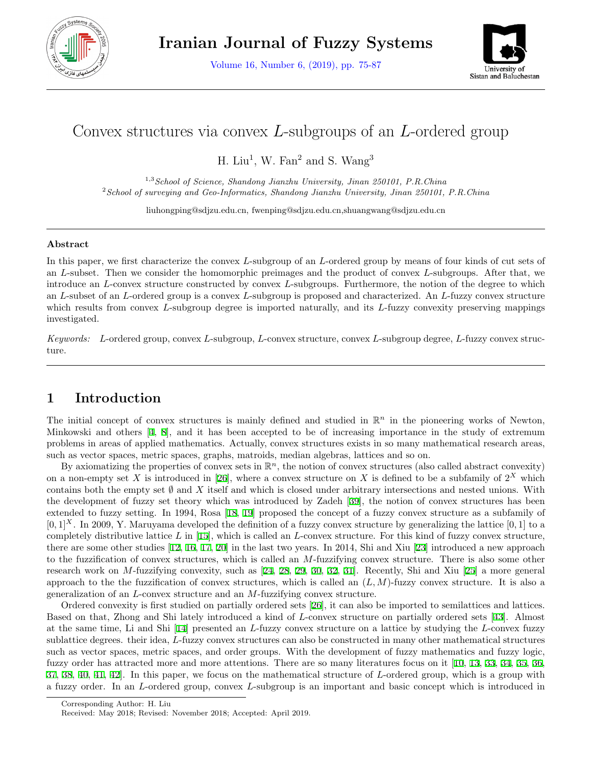

Volume 16, Number 6, (2019), pp. 75-87



# Convex structures via convex *L*-subgroups of an *L*-ordered group

H. Liu<sup>1</sup>, W. Fan<sup>2</sup> and S. Wang<sup>3</sup>

1,3*School of Science, Shandong Jianzhu University, Jinan 250101, P.R.China* <sup>2</sup>*School of surveying and Geo-Informatics, Shandong Jianzhu University, Jinan 250101, P.R.China*

liuhongping@sdjzu.edu.cn, fwenping@sdjzu.edu.cn,shuangwang@sdjzu.edu.cn

#### **Abstract**

In this paper, we first characterize the convex *L*-subgroup of an *L*-ordered group by means of four kinds of cut sets of an *L*-subset. Then we consider the homomorphic preimages and the product of convex *L*-subgroups. After that, we introduce an *L*-convex structure constructed by convex *L*-subgroups. Furthermore, the notion of the degree to which an *L*-subset of an *L*-ordered group is a convex *L*-subgroup is proposed and characterized. An *L*-fuzzy convex structure which results from convex *L*-subgroup degree is imported naturally, and its *L*-fuzzy convexity preserving mappings investigated.

*Keywords: L*-ordered group, convex *L*-subgroup, *L*-convex structure, convex *L*-subgroup degree, *L*-fuzzy convex structure.

# **1 Introduction**

The initial concept of convex structures is mainly defined and studied in  $\mathbb{R}^n$  in the pioneering works of Newton, Minkowski and others [[4,](#page-10-0) [8](#page-11-0)], and it has been accepted to be of increasing importance in the study of extremum problems in areas of applied mathematics. Actually, convex structures exists in so many mathematical research areas, such as vector spaces, metric spaces, graphs, matroids, median algebras, lattices and so on.

By axiomatizing the properties of convex sets in  $\mathbb{R}^n$ , the notion of convex structures (also called abstract convexity) on a non-empty set *X* is introduced in [[26\]](#page-11-1), where a convex structure on *X* is defined to be a subfamily of  $2^X$  which contains both the empty set *∅* and *X* itself and which is closed under arbitrary intersections and nested unions. With the development of fuzzy set theory which was introduced by Zadeh [[39](#page-12-0)], the notion of convex structures has been extended to fuzzy setting. In 1994, Rosa [[18,](#page-11-2) [19](#page-11-3)] proposed the concept of a fuzzy convex structure as a subfamily of  $[0,1]^X$ . In 2009, Y. Maruyama developed the definition of a fuzzy convex structure by generalizing the lattice  $[0,1]$  to a completely distributive lattice *L* in [\[15](#page-11-4)], which is called an *L*-convex structure. For this kind of fuzzy convex structure, there are some other studies [\[12](#page-11-5), [16](#page-11-6), [17,](#page-11-7) [20\]](#page-11-8) in the last two years. In 2014, Shi and Xiu [\[23](#page-11-9)] introduced a new approach to the fuzzification of convex structures, which is called an *M*-fuzzifying convex structure. There is also some other research work on *M*-fuzzifying convexity, such as [\[24](#page-11-10), [28](#page-11-11), [29,](#page-11-12) [30](#page-11-13), [32](#page-12-1), [31\]](#page-12-2). Recently, Shi and Xiu [[25\]](#page-11-14) a more general approach to the the fuzzification of convex structures, which is called an  $(L, M)$ -fuzzy convex structure. It is also a generalization of an *L*-convex structure and an *M*-fuzzifying convex structure.

Ordered convexity is first studied on partially ordered sets [[26\]](#page-11-1), it can also be imported to semilattices and lattices. Based on that, Zhong and Shi lately introduced a kind of *L*-convex structure on partially ordered sets [[43\]](#page-12-3). Almost at the same time, Li and Shi [[14\]](#page-11-15) presented an *L*-fuzzy convex structure on a lattice by studying the *L*-convex fuzzy sublattice degrees. their idea, *L*-fuzzy convex structures can also be constructed in many other mathematical structures such as vector spaces, metric spaces, and order groups. With the development of fuzzy mathematics and fuzzy logic, fuzzy order has attracted more and more attentions. There are so many literatures focus on it [[10,](#page-11-16) [13,](#page-11-17) [33](#page-12-4), [34,](#page-12-5) [35,](#page-12-6) [36](#page-12-7), [37](#page-12-8), [38,](#page-12-9) [40](#page-12-10), [41,](#page-12-11) [42\]](#page-12-12). In this paper, we focus on the mathematical structure of *L*-ordered group, which is a group with a fuzzy order. In an *L*-ordered group, convex *L*-subgroup is an important and basic concept which is introduced in

Corresponding Author: H. Liu

Received: May 2018; Revised: November 2018; Accepted: April 2019.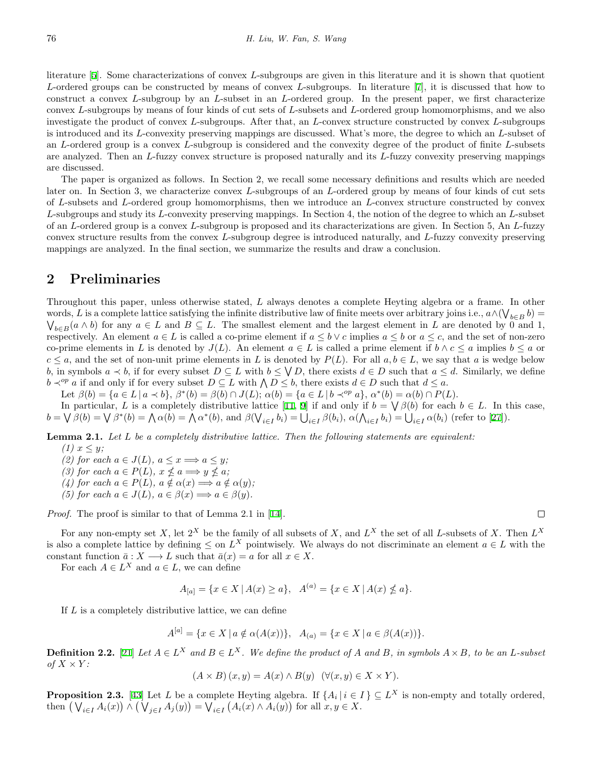literature [[5\]](#page-10-1). Some characterizations of convex *L*-subgroups are given in this literature and it is shown that quotient *L*-ordered groups can be constructed by means of convex *L*-subgroups. In literature [[7\]](#page-11-18), it is discussed that how to construct a convex *L*-subgroup by an *L*-subset in an *L*-ordered group. In the present paper, we first characterize convex *L*-subgroups by means of four kinds of cut sets of *L*-subsets and *L*-ordered group homomorphisms, and we also investigate the product of convex *L*-subgroups. After that, an *L*-convex structure constructed by convex *L*-subgroups is introduced and its *L*-convexity preserving mappings are discussed. What's more, the degree to which an *L*-subset of an *L*-ordered group is a convex *L*-subgroup is considered and the convexity degree of the product of finite *L*-subsets are analyzed. Then an *L*-fuzzy convex structure is proposed naturally and its *L*-fuzzy convexity preserving mappings are discussed.

The paper is organized as follows. In Section 2, we recall some necessary definitions and results which are needed later on. In Section 3, we characterize convex *L*-subgroups of an *L*-ordered group by means of four kinds of cut sets of *L*-subsets and *L*-ordered group homomorphisms, then we introduce an *L*-convex structure constructed by convex *L*-subgroups and study its *L*-convexity preserving mappings. In Section 4, the notion of the degree to which an *L*-subset of an *L*-ordered group is a convex *L*-subgroup is proposed and its characterizations are given. In Section 5, An *L*-fuzzy convex structure results from the convex *L*-subgroup degree is introduced naturally, and *L*-fuzzy convexity preserving mappings are analyzed. In the final section, we summarize the results and draw a conclusion.

#### **2 Preliminaries**

Throughout this paper, unless otherwise stated, *L* always denotes a complete Heyting algebra or a frame. In other words, *L* is a complete lattice satisfying the infinite distributive law of finite meets over arbitrary joins i.e.,  $a \wedge (\bigvee_{b \in B} b) =$  $\bigvee_{b \in B} (a \wedge b)$  for any  $a \in L$  and  $B \subseteq L$ . The smallest element and the largest element in *L* are denoted by 0 and 1, respectively. An element  $a \in L$  is called a co-prime element if  $a \leq b \vee c$  implies  $a \leq b$  or  $a \leq c$ , and the set of non-zero co-prime elements in *L* is denoted by  $J(L)$ . An element  $a \in L$  is called a prime element if  $b \wedge c \leq a$  implies  $b \leq a$  or  $c \leq a$ , and the set of non-unit prime elements in *L* is denoted by  $P(L)$ . For all  $a, b \in L$ , we say that *a* is wedge below b, in symbols  $a \prec b$ , if for every subset  $D \subseteq L$  with  $b \leq \bigvee D$ , there exists  $d \in D$  such that  $a \leq d$ . Similarly, we define *b*  $\prec^{op} a$  if and only if for every subset *D* ⊆ *L* with  $\land$  *D* ≤ *b*, there exists *d* ∈ *D* such that *d* ≤ *a*.

Let  $\beta(b) = \{a \in L \mid a \prec b\}, \ \beta^*(b) = \beta(b) \cap J(L); \ \alpha(b) = \{a \in L \mid b \prec^{op} a\}, \ \alpha^*(b) = \alpha(b) \cap P(L).$ 

In particular, *L* is a completely distributive lattice [[11](#page-11-19), [9](#page-11-20)] if and only if  $b = \bigvee \beta(b)$  for each  $b \in L$ . In this case,  $b = \bigvee \beta(b) = \bigvee \beta^*(b) = \bigwedge \alpha(b) = \bigwedge \alpha^*(b)$ , and  $\beta(\bigvee_{i \in I} b_i) = \bigcup_{i \in I} \beta(b_i)$ ,  $\alpha(\bigwedge_{i \in I} b_i) = \bigcup_{i \in I} \alpha(b_i)$  (refer to [[27](#page-11-21)]).

**Lemma 2.1.** *Let L be a completely distributive lattice. Then the following statements are equivalent:*  $(1)$   $x \leq y$ ;

 $(2)$  for each  $a \in J(L)$ ,  $a \leq x \Longrightarrow a \leq y$ ;

*(3)* for each  $a \in P(L)$ ,  $x \nleq a \implies y \nleq a$ ;

- $(4)$  for each  $a \in P(L)$ ,  $a \notin \alpha(x) \Longrightarrow a \notin \alpha(y)$ ;
- *(5) for each*  $a \in J(L)$ ,  $a \in \beta(x) \Longrightarrow a \in \beta(y)$ .

*Proof.* The proof is similar to that of Lemma 2.1 in [[14\]](#page-11-15).

For any non-empty set *X*, let  $2^X$  be the family of all subsets of *X*, and  $L^X$  the set of all *L*-subsets of *X*. Then  $L^X$ is also a complete lattice by defining  $\leq$  on  $L^X$  pointwisely. We always do not discriminate an element  $a \in L$  with the constant function  $\bar{a}: X \longrightarrow L$  such that  $\bar{a}(x) = a$  for all  $x \in X$ .

For each  $A \in L^X$  and  $a \in L$ , we can define

 $A_{[a]} = \{x \in X \mid A(x) \ge a\}, \quad A^{(a)} = \{x \in X \mid A(x) \nleq a\}.$ 

If *L* is a completely distributive lattice, we can define

$$
A^{[a]} = \{ x \in X \mid a \notin \alpha(A(x)) \}, \quad A_{(a)} = \{ x \in X \mid a \in \beta(A(x)) \}.
$$

**Definition 2.2.** [\[21](#page-11-22)] Let  $A \in L^X$  and  $B \in L^X$ . We define the product of A and B, in symbols  $A \times B$ , to be an L-subset *of*  $X \times Y$ *:* 

$$
(A \times B)(x, y) = A(x) \wedge B(y) \quad (\forall (x, y) \in X \times Y).
$$

**Proposition 2.3.** [\[43](#page-12-3)] Let *L* be a complete Heyting algebra. If  $\{A_i | i \in I\} \subseteq L^X$  is non-empty and totally ordered, then  $(\bigvee_{i\in I}A_i(x)) \wedge (\bigvee_{j\in I}A_j(y)) = \bigvee_{i\in I}(A_i(x) \wedge A_i(y))$  for all  $x, y \in X$ .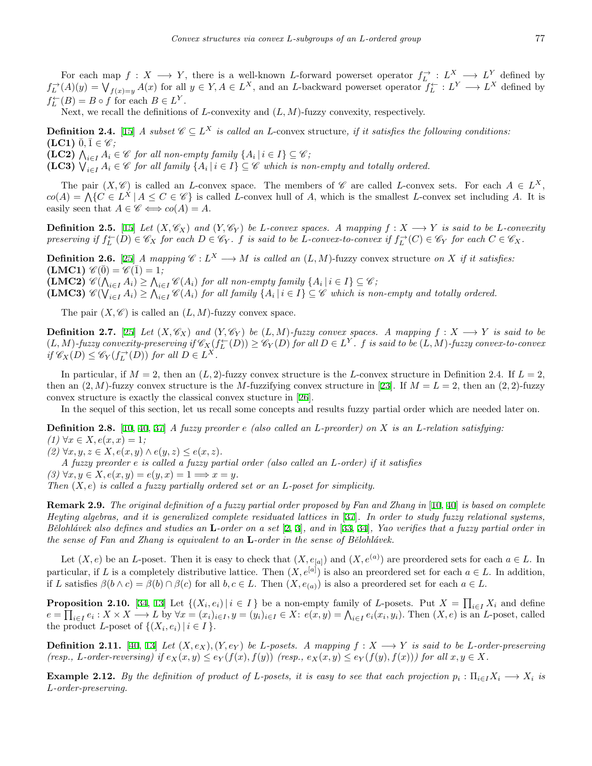For each map  $f: X \longrightarrow Y$ , there is a well-known *L*-forward powerset operator  $f_L^{\rightarrow}: L^X \longrightarrow L^Y$  defined by  $f_L^{\rightarrow}(A)(y) = \bigvee_{f(x)=y} A(x)$  for all  $y \in Y, A \in L^X$ , and an L-backward powerset operator  $f_L^{\leftarrow}: L^Y \longrightarrow L^X$  defined by  $f_L^{\leftarrow}(B) = B \circ f$  for each  $B \in L^Y$ .

Next, we recall the definitions of *L*-convexity and  $(L, M)$ -fuzzy convexity, respectively.

**Definition 2.4.** [\[15](#page-11-4)] *A subset*  $\mathscr{C} \subseteq L^X$  *is called an L*-convex structure, *if it satisfies the following conditions:*  $(\textbf{LC1}) \ \overline{0}, \overline{1} \in \mathscr{C}$ ;

**(LC2)**  $\bigwedge_{i \in I} A_i \in \mathscr{C}$  for all non-empty family  $\{A_i \mid i \in I\} \subseteq \mathscr{C}$ ;

**(LC3)**  $\bigvee_{i \in I} A_i \in \mathscr{C}$  *for all family*  $\{A_i \mid i \in I\} \subseteq \mathscr{C}$  *which is non-empty and totally ordered.* 

The pair  $(X, \mathscr{C})$  is called an *L*-convex space. The members of  $\mathscr{C}$  are called *L*-convex sets. For each  $A \in L^X$ ,  $co(A) = \bigwedge \{C \in L^X \mid A \leq C \in \mathscr{C}\}\$ is called L-convex hull of A, which is the smallest L-convex set including A. It is easily seen that  $A \in \mathscr{C} \Longleftrightarrow co(A) = A$ .

**Definition 2.5.** [[15\]](#page-11-4) Let  $(X, \mathscr{C}_X)$  and  $(Y, \mathscr{C}_Y)$  be L-convex spaces. A mapping  $f: X \longrightarrow Y$  is said to be L-convexity preserving if  $f_L^{\leftarrow}(D) \in \mathscr{C}_X$  for each  $D \in \mathscr{C}_Y$ . f is said to be L-convex-to-convex if  $f_L^{\rightarrow}(C) \in \mathscr{C}_Y$  for each  $C \in \mathscr{C}_X$ .

**Definition 2.6.** [\[25](#page-11-14)] *A mapping*  $C: L^X \longrightarrow M$  *is called an*  $(L, M)$ -fuzzy convex structure *on X if it satisfies:*  $(LMC1) \mathscr{C}(\bar{0}) = \mathscr{C}(\bar{1}) = 1;$ 

 $(\mathbf{LMC2}) \mathscr{C}(\bigwedge_{i \in I} A_i) \geq \bigwedge_{i \in I} \mathscr{C}(A_i)$  for all non-empty family  $\{A_i | i \in I\} \subseteq \mathscr{C}$ ;

**(LMC3)**  $\mathscr{C}(\bigvee_{i\in I} A_i) \geq \bigwedge_{i\in I} \mathscr{C}(A_i)$  for all family  $\{A_i | i \in I\} \subseteq \mathscr{C}$  which is non-empty and totally ordered.

The pair  $(X, \mathscr{C})$  is called an  $(L, M)$ -fuzzy convex space.

**Definition 2.7.** [\[25](#page-11-14)] Let  $(X, \mathscr{C}_X)$  and  $(Y, \mathscr{C}_Y)$  be  $(L, M)$ -fuzzy convex spaces. A mapping  $f: X \longrightarrow Y$  is said to be  $(L, M)$ -fuzzy convexity-preserving if  $\mathscr{C}_X(f^{\leftarrow}_L(D)) \geq \mathscr{C}_Y(D)$  for all  $D \in L^Y$ .  $f$  is said to be  $(L, M)$ -fuzzy convex-to-convex  $if \mathscr{C}_X(D) \leq \mathscr{C}_Y(f_L^{\rightarrow}(D))$  *for all*  $D \in L^X$ *.* 

In particular, if  $M = 2$ , then an  $(L, 2)$ -fuzzy convex structure is the *L*-convex structure in Definition 2.4. If  $L = 2$ , then an  $(2, M)$ -fuzzy convex structure is the *M*-fuzzifying convex structure in [[23\]](#page-11-9). If  $M = L = 2$ , then an  $(2, 2)$ -fuzzy convex structure is exactly the classical convex stucture in [[26](#page-11-1)].

In the sequel of this section, let us recall some concepts and results fuzzy partial order which are needed later on.

**Definition 2.8.** [\[10](#page-11-16), [40](#page-12-10), [37](#page-12-8)] *A fuzzy preorder e (also called an L-preorder) on X is an L-relation satisfying: (1)* ∀ $x \in X, e(x, x) = 1;$ 

*(2)*  $\forall x, y, z \in X, e(x, y) \land e(y, z) \leq e(x, z)$ .

*A fuzzy preorder e is called a fuzzy partial order (also called an L-order) if it satisfies*

 $(3)$   $\forall x, y \in X, e(x, y) = e(y, x) = 1 \Longrightarrow x = y.$ 

*Then* (*X, e*) *is called a fuzzy partially ordered set or an L-poset for simplicity.*

**Remark 2.9.** *The original definition of a fuzzy partial order proposed by Fan and Zhang in* [\[10](#page-11-16), [40\]](#page-12-10) *is based on complete Heyting algebras, and it is generalized complete residuated lattices in* [\[37](#page-12-8)]*. In order to study fuzzy relational systems, Bˇelohl´avek also defines and studies an* **L***-order on a set* [[2,](#page-10-2) [3\]](#page-10-3)*, and in* [\[33](#page-12-4), [34](#page-12-5)]*, Yao verifies that a fuzzy partial order in the sense of Fan and Zhang is equivalent to an* **L**-order in the sense of Bělohlávek.

Let  $(X, e)$  be an *L*-poset. Then it is easy to check that  $(X, e_{[a]})$  and  $(X, e^{(a)})$  are preordered sets for each  $a \in L$ . In particular, if *L* is a completely distributive lattice. Then  $(X, e^{[a]})$  is also an preordered set for each  $a \in L$ . In addition, if L satisfies  $\beta(b \wedge c) = \beta(b) \cap \beta(c)$  for all  $b, c \in L$ . Then  $(X, e_{(a)})$  is also a preordered set for each  $a \in L$ .

**Proposition 2.10.** [[34,](#page-12-5) [13](#page-11-17)] Let  $\{(X_i, e_i) | i \in I\}$  be a non-empty family of L-posets. Put  $X = \prod_{i \in I} X_i$  and define  $e = \prod_{i \in I} e_i : X \times X \longrightarrow L$  by  $\forall x = (x_i)_{i \in I}, y = (y_i)_{i \in I} \in X$ :  $e(x, y) = \bigwedge_{i \in I} e_i(x_i, y_i)$ . Then  $(X, e)$  is an *L*-poset, called the product *L*-poset of  $\{(X_i, e_i) | i \in I\}$ .

**Definition 2.11.** [[40,](#page-12-10) [13](#page-11-17)] Let  $(X, e_X)$ ,  $(Y, e_Y)$  be L-posets. A mapping  $f: X \longrightarrow Y$  is said to be L-order-preserving (resp., L-order-reversing) if  $e_X(x, y) \le e_Y(f(x), f(y))$  (resp.,  $e_X(x, y) \le e_Y(f(y), f(x))$ ) for all  $x, y \in X$ .

**Example 2.12.** By the definition of product of *L*-posets, it is easy to see that each projection  $p_i: \Pi_{i\in I}X_i \longrightarrow X_i$  is *L-order-preserving.*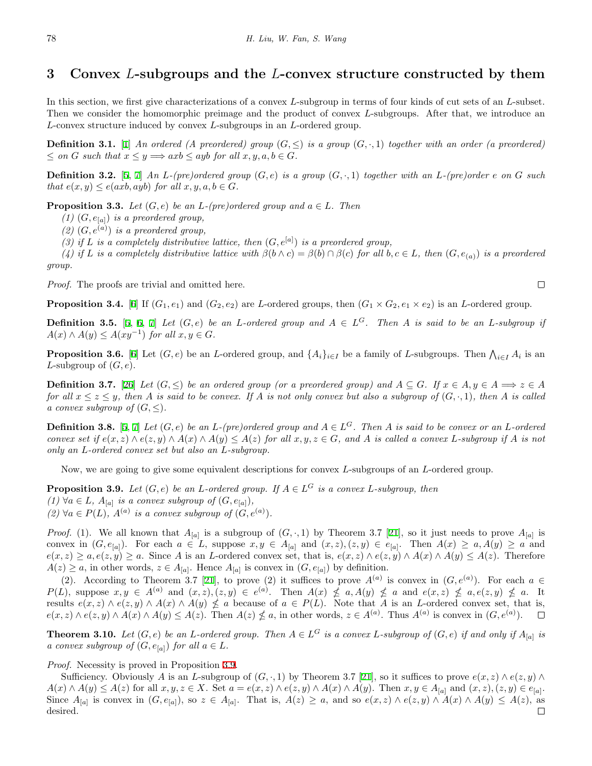## **3 Convex** *L***-subgroups and the** *L***-convex structure constructed by them**

In this section, we first give characterizations of a convex *L*-subgroup in terms of four kinds of cut sets of an *L*-subset. Then we consider the homomorphic preimage and the product of convex *L*-subgroups. After that, we introduce an *L*-convex structure induced by convex *L*-subgroups in an *L*-ordered group.

**Definition 3.1.** [[1\]](#page-10-4) *An ordered (A preordered) group*  $(G, \leq)$  *is a group*  $(G, \cdot, 1)$  *together with an order (a preordered)*  $\leq$  *on G such that*  $x \leq y \implies axb \leq ayb$  *for all*  $x, y, a, b \in G$ *.* 

**Definition 3.2.** [\[5](#page-10-1), [7\]](#page-11-18) An L-(pre)ordered group  $(G, e)$  is a group  $(G, \cdot, 1)$  together with an L-(pre)order e on G such *that*  $e(x, y) \leq e(axb, ayb)$  *for all*  $x, y, a, b \in G$ *.* 

**Proposition 3.3.** *Let*  $(G, e)$  *be an L*-(pre)ordered group and  $a \in L$ *. Then* 

*(1)*  $(G, e_{[a]})$  *is a preordered group,* 

 $(2)$   $(G, e^{(a)})$  *is a preordered group,* 

(3) if *L* is a completely distributive lattice, then  $(G, e^{[a]})$  is a preordered group,

(4) if L is a completely distributive lattice with  $\beta(b \wedge c) = \beta(b) \cap \beta(c)$  for all  $b, c \in L$ , then  $(G, e_{(a)})$  is a preordered *group.*

*Proof.* The proofs are trivial and omitted here.

**Proposition 3.4.** [[6\]](#page-11-23) If  $(G_1, e_1)$  and  $(G_2, e_2)$  are *L*-ordered groups, then  $(G_1 \times G_2, e_1 \times e_2)$  is an *L*-ordered group.

**Definition 3.5.** [[5,](#page-10-1) [6](#page-11-23), [7\]](#page-11-18) *Let*  $(G, e)$  *be an L*-ordered group and  $A \in L^G$ . Then A is said to be an *L*-subgroup if  $A(x) \wedge A(y) \leq A(xy^{-1})$  *for all*  $x, y \in G$ *.* 

**Proposition 3.6.** [[6\]](#page-11-23) Let  $(G, e)$  be an L-ordered group, and  $\{A_i\}_{i \in I}$  be a family of L-subgroups. Then  $\bigwedge_{i \in I} A_i$  is an *L*-subgroup of (*G, e*).

**Definition 3.7.** [[26\]](#page-11-1) Let  $(G, \leq)$  be an ordered group (or a preordered group) and  $A \subseteq G$ . If  $x \in A, y \in A \Longrightarrow z \in A$ for all  $x \le z \le y$ , then A is said to be convex. If A is not only convex but also a subgroup of  $(G, \cdot, 1)$ , then A is called *a convex subgroup of*  $(G, \leq)$ *.* 

**Definition 3.8.** [[5,](#page-10-1) [7](#page-11-18)] Let  $(G, e)$  be an *L*-(pre)ordered group and  $A \in L^G$ . Then *A* is said to be convex or an *L*-ordered convex set if  $e(x, z) \wedge e(z, y) \wedge A(x) \wedge A(y) \leq A(z)$  for all  $x, y, z \in G$ , and A is called a convex L-subgroup if A is not *only an L-ordered convex set but also an L-subgroup.*

Now, we are going to give some equivalent descriptions for convex *L*-subgroups of an *L*-ordered group.

<span id="page-3-0"></span>**Proposition 3.9.** *Let*  $(G, e)$  *be an L*-ordered group. If  $A \in L^G$  *is a convex L*-subgroup, then *(1)*  $\forall a \in L$ *,*  $A_{[a]}$  *is a convex subgroup of*  $(G, e_{[a]})$ *, (2)*  $\forall a \in P(L)$ ,  $A^{(a)}$  *is a convex subgroup of*  $(G, e^{(a)})$ *.* 

*Proof.* (1). We all known that  $A_{[a]}$  is a subgroup of  $(G, \cdot, 1)$  by Theorem 3.7 [\[21](#page-11-22)], so it just needs to prove  $A_{[a]}$  is convex in  $(G, e_{[a]})$ . For each  $a \in L$ , suppose  $x, y \in A_{[a]}$  and  $(x, z), (z, y) \in e_{[a]}$ . Then  $A(x) \ge a, A(y) \ge a$  and  $e(x, z) \ge a, e(z, y) \ge a$ . Since A is an L-ordered convex set, that is,  $e(x, z) \wedge e(z, y) \wedge A(x) \wedge A(y) \le A(z)$ . Therefore  $A(z) \geq a$ , in other words,  $z \in A_{[a]}$ . Hence  $A_{[a]}$  is convex in  $(G, e_{[a]})$  by definition.

(2). According to Theorem 3.7 [\[21](#page-11-22)], to prove (2) it suffices to prove  $A^{(a)}$  is convex in  $(G, e^{(a)})$ . For each  $a \in$  $P(L)$ , suppose  $x, y \in A^{(a)}$  and  $(x, z), (z, y) \in e^{(a)}$ . Then  $A(x) \nleq a, A(y) \nleq a$  and  $e(x, z) \nleq a, e(z, y) \nleq a$ . It results  $e(x, z) \wedge e(z, y) \wedge A(x) \wedge A(y) \nleq a$  because of  $a \in P(L)$ . Note that A is an L-ordered convex set, that is,  $e(x, z) \wedge e(z, y) \wedge A(x) \wedge A(y) \leq A(z)$ . Then  $A(z) \nleq a$ , in other words,  $z \in A^{(a)}$ . Thus  $A^{(a)}$  is convex in  $(G, e^{(a)})$ .  $\Box$ 

**Theorem 3.10.** Let  $(G, e)$  be an L-ordered group. Then  $A \in L^G$  is a convex L-subgroup of  $(G, e)$  if and only if  $A_{[a]}$  is *a convex subgroup of*  $(G, e_{[a]})$  *for all*  $a \in L$ *.* 

*Proof.* Necessity is proved in Proposition [3.9](#page-3-0).

Sufficiency. Obviously *A* is an *L*-subgroup of  $(G, \cdot, 1)$  by Theorem 3.7 [[21](#page-11-22)], so it suffices to prove  $e(x, z) \wedge e(z, y) \wedge$  $A(x) \wedge A(y) \leq A(z)$  for all  $x, y, z \in X$ . Set  $a = e(x, z) \wedge e(z, y) \wedge A(x) \wedge A(y)$ . Then  $x, y \in A_{[a]}$  and  $(x, z), (z, y) \in e_{[a]}$ . Since  $A_{[a]}$  is convex in  $(G, e_{[a]})$ , so  $z \in A_{[a]}$ . That is,  $A(z) \geq a$ , and so  $e(x, z) \wedge e(z, y) \wedge A(x) \wedge A(y) \leq A(z)$ , as  $\Box$ desired.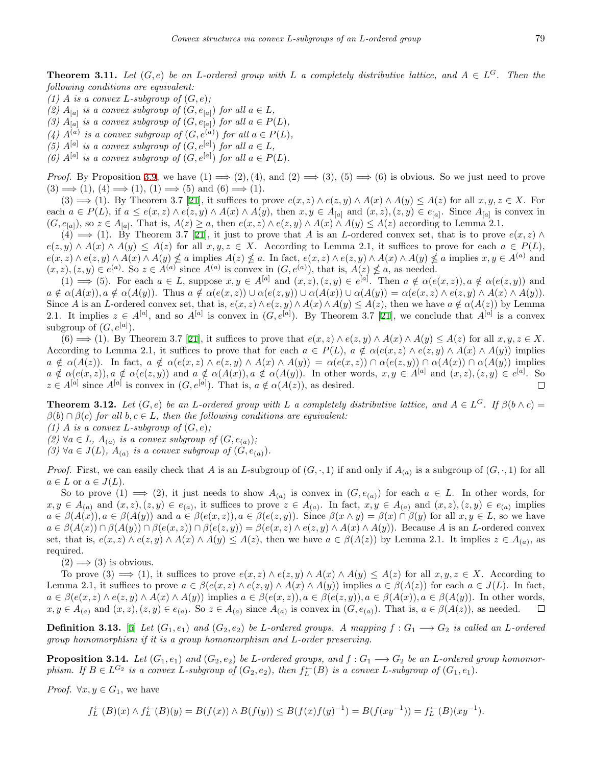**Theorem 3.11.** Let  $(G, e)$  be an *L*-ordered group with *L* a completely distributive lattice, and  $A \in L^G$ . Then the *following conditions are equivalent:*

- *(1) A is a convex L*-subgroup of  $(G, e)$ ;
- (2)  $A_{[a]}$  is a convex subgroup of  $(G, e_{[a]})$  for all  $a \in L$ ,
- *(3)*  $A_{[a]}$  *is a convex subgroup of*  $(G, e_{[a]})$  *for all*  $a \in P(L)$ *,*
- (4)  $A^{(a)}$  is a convex subgroup of  $(G, e^{(a)})$  for all  $a \in P(L)$ ,
- *(5)*  $A^{[a]}$  *is a convex subgroup of*  $(G, e^{[a]})$  *for all*  $a \in L$ *,*
- *(6)*  $A^{[a]}$  *is a convex subgroup of*  $(G, e^{[a]})$  *for all*  $a \in P(L)$ *.*

*Proof.* By Proposition [3.9,](#page-3-0) we have  $(1) \implies (2)$ ,  $(4)$ , and  $(2) \implies (3)$ ,  $(5) \implies (6)$  is obvious. So we just need to prove  $(3) \implies (1), (4) \implies (1), (1) \implies (5) \text{ and } (6) \implies (1).$ 

 $(3) \implies (1)$ . By Theorem 3.7 [\[21](#page-11-22)], it suffices to prove  $e(x, z) \wedge e(z, y) \wedge A(x) \wedge A(y) \leq A(z)$  for all  $x, y, z \in X$ . For each  $a \in P(L)$ , if  $a \leq e(x, z) \wedge e(z, y) \wedge A(x) \wedge A(y)$ , then  $x, y \in A_{[a]}$  and  $(x, z), (z, y) \in e_{[a]}$ . Since  $A_{[a]}$  is convex in  $(G, e_{[a]})$ , so  $z \in A_{[a]}$ . That is,  $A(z) \geq a$ , then  $e(x, z) \wedge e(z, y) \wedge A(x) \wedge A(y) \leq A(z)$  according to Lemma 2.1.

 $(4) \implies (1)$ . By Theorem 3.7 [[21\]](#page-11-22), it just to prove that *A* is an *L*-ordered convex set, that is to prove  $e(x, z) \wedge$  $e(z, y) \wedge A(x) \wedge A(y) \leq A(z)$  for all  $x, y, z \in X$ . According to Lemma 2.1, it suffices to prove for each  $a \in P(L)$ ,  $e(x, z) \wedge e(z, y) \wedge A(x) \wedge A(y) \nleq a$  implies  $A(z) \nleq a$ . In fact,  $e(x, z) \wedge e(z, y) \wedge A(x) \wedge A(y) \nleq a$  implies  $x, y \in A^{(a)}$  and  $(x, z), (z, y) \in e^{(a)}$ . So  $z \in A^{(a)}$  since  $A^{(a)}$  is convex in  $(G, e^{(a)})$ , that is,  $A(z) \nleq a$ , as needed.

 $(1) \implies (5)$ . For each  $a \in L$ , suppose  $x, y \in A^{[a]}$  and  $(x, z), (z, y) \in e^{[a]}$ . Then  $a \notin \alpha(e(x, z)), a \notin \alpha(e(z, y))$  and  $a \notin \alpha(A(x)), a \notin \alpha(A(y)).$  Thus  $a \notin \alpha(e(x, z)) \cup \alpha(e(z, y)) \cup \alpha(A(x)) \cup \alpha(A(y)) = \alpha(e(x, z) \wedge e(z, y) \wedge A(x) \wedge A(y)).$ Since A is an L-ordered convex set, that is,  $e(x, z) \wedge e(z, y) \wedge A(x) \wedge A(y) \leq A(z)$ , then we have  $a \notin \alpha(A(z))$  by Lemma 2.1. It implies  $z \in A^{[a]}$ , and so  $A^{[a]}$  is convex in  $(G, e^{[a]})$ . By Theorem 3.7 [\[21](#page-11-22)], we conclude that  $A^{[a]}$  is a convex subgroup of  $(G, e^{[a]})$ .

 $(6) \implies (1)$ . By Theorem 3.7 [[21\]](#page-11-22), it suffices to prove that  $e(x, z) \wedge e(z, y) \wedge A(x) \wedge A(y) \leq A(z)$  for all  $x, y, z \in X$ . According to Lemma 2.1, it suffices to prove that for each  $a \in P(L)$ ,  $a \notin \alpha(e(x, z) \wedge e(z, y) \wedge A(x) \wedge A(y))$  implies  $a \notin \alpha(A(z))$ . In fact,  $a \notin \alpha(e(x, z) \land e(z, y) \land A(x) \land A(y)) = \alpha(e(x, z)) \cap \alpha(e(z, y)) \cap \alpha(A(x)) \cap \alpha(A(y))$  implies  $a \notin \alpha(e(x, z)), a \notin \alpha(e(z, y))$  and  $a \notin \alpha(A(x)), a \notin \alpha(A(y)).$  In other words,  $x, y \in A^{[a]}$  and  $(x, z), (z, y) \in e^{[a]}$ . So  $z \in A^{[a]}$  since  $A^{[a]}$  is convex in  $(G, e^{[a]})$ . That is,  $a \notin \alpha(A(z))$ , as desired.  $\Box$ 

**Theorem 3.12.** Let  $(G, e)$  be an L-ordered group with L a completely distributive lattice, and  $A \in L^G$ . If  $\beta(b \wedge c)$  $\beta(b) \cap \beta(c)$  *for all*  $b, c \in L$ *, then the following conditions are equivalent:* 

- *(1)*  $A$  *is a convex*  $L$ *-subgroup of*  $(G, e)$ *;*
- *(2)*  $\forall a \in L$ *,*  $A_{(a)}$  *is a convex subgroup of*  $(G, e_{(a)})$ *;*

*(3)*  $\forall a \in J(L)$ ,  $A_{(a)}$  *is a convex subgroup of*  $(G, e_{(a)})$ *.* 

*Proof.* First, we can easily check that *A* is an *L*-subgroup of  $(G, \cdot, 1)$  if and only if  $A_{(a)}$  is a subgroup of  $(G, \cdot, 1)$  for all  $a \in L$  or  $a \in J(L)$ .

So to prove  $(1) \implies (2)$ , it just needs to show  $A_{(a)}$  is convex in  $(G, e_{(a)})$  for each  $a \in L$ . In other words, for  $x, y \in A_{(a)}$  and  $(x, z), (z, y) \in e_{(a)}$ , it suffices to prove  $z \in A_{(a)}$ . In fact,  $x, y \in A_{(a)}$  and  $(x, z), (z, y) \in e_{(a)}$  implies  $a \in \beta(A(x)), a \in \beta(A(y))$  and  $a \in \beta(e(x, z)), a \in \beta(e(z, y))$ . Since  $\beta(x \wedge y) = \beta(x) \cap \beta(y)$  for all  $x, y \in L$ , so we have  $a \in \beta(A(x)) \cap \beta(A(y)) \cap \beta(e(x, z)) \cap \beta(e(z, y)) = \beta(e(x, z) \wedge e(z, y) \wedge A(x) \wedge A(y)).$  Because A is an L-ordered convex set, that is,  $e(x, z) \wedge e(z, y) \wedge A(x) \wedge A(y) \leq A(z)$ , then we have  $a \in \beta(A(z))$  by Lemma 2.1. It implies  $z \in A_{(a)}$ , as required.

 $(2) \Longrightarrow (3)$  is obvious.

To prove (3)  $\implies$  (1), it suffices to prove  $e(x, z) \wedge e(z, y) \wedge A(x) \wedge A(y) \leq A(z)$  for all  $x, y, z \in X$ . According to Lemma 2.1, it suffices to prove  $a \in \beta(e(x, z) \land e(z, y) \land A(x) \land A(y))$  implies  $a \in \beta(A(z))$  for each  $a \in J(L)$ . In fact,  $a \in \beta(e(x, z) \wedge e(z, y) \wedge A(x) \wedge A(y))$  implies  $a \in \beta(e(x, z)), a \in \beta(e(z, y)), a \in \beta(A(x)), a \in \beta(A(y)).$  In other words,  $x, y \in A_{(a)}$  and  $(x, z), (z, y) \in e_{(a)}$ . So  $z \in A_{(a)}$  since  $A_{(a)}$  is convex in  $(G, e_{(a)})$ . That is,  $a \in \beta(A(z))$ , as needed.  $\Box$ 

**Definition 3.13.** [\[5](#page-10-1)] Let  $(G_1, e_1)$  and  $(G_2, e_2)$  be L-ordered groups. A mapping  $f: G_1 \longrightarrow G_2$  is called an L-ordered *group homomorphism if it is a group homomorphism and L-order preserving.*

**Proposition 3.14.** Let  $(G_1, e_1)$  and  $(G_2, e_2)$  be L-ordered groups, and  $f: G_1 \longrightarrow G_2$  be an L-ordered group homomorphism. If  $B \in L^{G_2}$  is a convex L-subgroup of  $(G_2, e_2)$ , then  $f_L^{\leftarrow}(B)$  is a convex L-subgroup of  $(G_1, e_1)$ .

*Proof.*  $\forall x, y \in G_1$ , we have

$$
f_L^{\leftarrow}(B)(x) \wedge f_L^{\leftarrow}(B)(y) = B(f(x)) \wedge B(f(y)) \leq B(f(x)f(y)^{-1}) = B(f(xy^{-1})) = f_L^{\leftarrow}(B)(xy^{-1}).
$$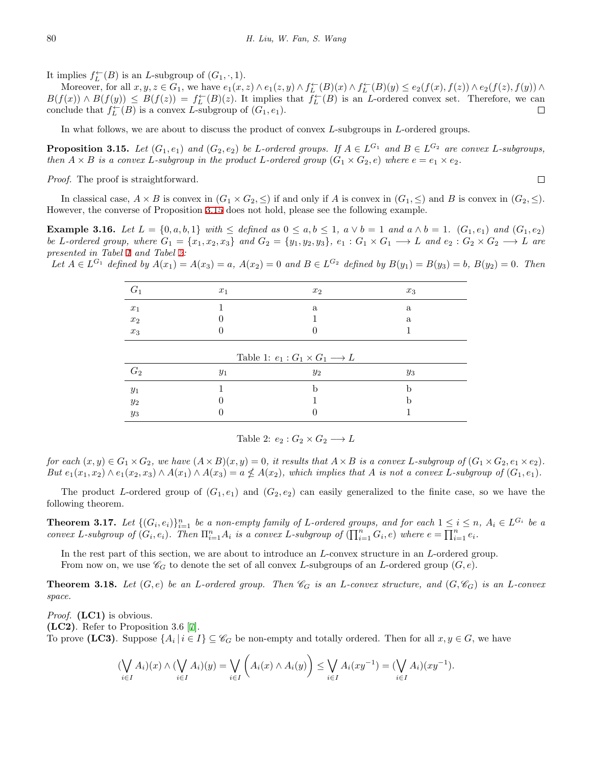It implies  $f_L^{\leftarrow}(B)$  is an *L*-subgroup of  $(G_1, \cdot, 1)$ .

Moreover, for all  $x, y, z \in G_1$ , we have  $e_1(x, z) \wedge e_1(z, y) \wedge f_L^{\leftarrow}(B)(x) \wedge f_L^{\leftarrow}(B)(y) \le e_2(f(x), f(z)) \wedge e_2(f(z), f(y)) \wedge f_L^{\leftarrow}(B)(y)$  $B(f(x)) \wedge B(f(y)) \leq B(f(z)) = f_L^{\leftarrow}(B)(z)$ . It implies that  $f_L^{\leftarrow}(B)$  is an *L*-ordered convex set. Therefore, we can conclude that  $f_L^{\leftarrow}(B)$  is a convex *L*-subgroup of  $(G_1, e_1)$ .  $\Box$ 

In what follows, we are about to discuss the product of convex *L*-subgroups in *L*-ordered groups.

<span id="page-5-0"></span>**Proposition 3.15.** Let  $(G_1, e_1)$  and  $(G_2, e_2)$  be L-ordered groups. If  $A \in L^{G_1}$  and  $B \in L^{G_2}$  are convex L-subgroups, then  $A \times B$  is a convex L-subgroup in the product L-ordered group  $(G_1 \times G_2, e)$  where  $e = e_1 \times e_2$ .

 $\Box$ 

*Proof.* The proof is straightforward.

In classical case,  $A \times B$  is convex in  $(G_1 \times G_2, \leq)$  if and only if A is convex in  $(G_1, \leq)$  and B is convex in  $(G_2, \leq)$ . However, the converse of Proposition [3.15](#page-5-0) does not hold, please see the following example.

**Example 3.16.** Let  $L = \{0, a, b, 1\}$  with  $\leq$  defined as  $0 \leq a, b \leq 1$ ,  $a \vee b = 1$  and  $a \wedge b = 1$ .  $(G_1, e_1)$  and  $(G_1, e_2)$ be L-ordered group, where  $G_1 = \{x_1, x_2, x_3\}$  and  $G_2 = \{y_1, y_2, y_3\}$ ,  $e_1 : G_1 \times G_1 \longrightarrow L$  and  $e_2 : G_2 \times G_2 \longrightarrow L$  are *presented in Tabel [1](#page-5-1) and Tabel [2:](#page-5-2)*

Let  $A \in L^{G_1}$  defined by  $A(x_1) = A(x_3) = a$ ,  $A(x_2) = 0$  and  $B \in L^{G_2}$  defined by  $B(y_1) = B(y_3) = b$ ,  $B(y_2) = 0$ . Then

| $G_1$              | $x_1$ | $x_2$                                            | $x_3$ |
|--------------------|-------|--------------------------------------------------|-------|
| $x_1$              |       | a                                                | a     |
| $\boldsymbol{x}_2$ |       |                                                  | a     |
| $x_3$              |       |                                                  |       |
|                    |       | Table 1: $e_1: G_1 \times G_1 \longrightarrow L$ |       |
| $G_2$              | $y_1$ | $y_2$                                            | $y_3$ |
| $y_1$              |       |                                                  | h     |
| $y_2$              |       |                                                  | h     |
|                    |       |                                                  |       |

<span id="page-5-2"></span><span id="page-5-1"></span>Table 2:  $e_2: G_2 \times G_2 \longrightarrow L$ 

for each  $(x, y) \in G_1 \times G_2$ , we have  $(A \times B)(x, y) = 0$ , it results that  $A \times B$  is a convex L-subgroup of  $(G_1 \times G_2, e_1 \times e_2)$ . But  $e_1(x_1, x_2) \wedge e_1(x_2, x_3) \wedge A(x_1) \wedge A(x_3) = a \nleq A(x_2)$ , which implies that A is not a convex L-subgroup of  $(G_1, e_1)$ .

The product *L*-ordered group of  $(G_1, e_1)$  and  $(G_2, e_2)$  can easily generalized to the finite case, so we have the following theorem.

**Theorem 3.17.** Let  $\{(G_i, e_i)\}_{i=1}^n$  be a non-empty family of L-ordered groups, and for each  $1 \le i \le n$ ,  $A_i \in L^{G_i}$  be a convex L-subgroup of  $(G_i, e_i)$ . Then  $\Pi_{i=1}^n A_i$  is a convex L-subgroup of  $(\prod_{i=1}^n G_i, e)$  where  $e = \prod_{i=1}^n e_i$ .

In the rest part of this section, we are about to introduce an *L*-convex structure in an *L*-ordered group. From now on, we use  $\mathscr{C}_G$  to denote the set of all convex *L*-subgroups of an *L*-ordered group  $(G, e)$ .

**Theorem 3.18.** Let  $(G, e)$  be an L-ordered group. Then  $\mathscr{C}_G$  is an L-convex structure, and  $(G, \mathscr{C}_G)$  is an L-convex *space.*

*Proof.* **(LC1)** is obvious. **(LC2)**. Refer to Proposition 3.6 [\[7](#page-11-18)]. To prove (LC3). Suppose  $\{A_i \mid i \in I\} \subseteq \mathscr{C}_G$  be non-empty and totally ordered. Then for all  $x, y \in G$ , we have

$$
(\bigvee_{i\in I}A_i)(x)\wedge(\bigvee_{i\in I}A_i)(y)=\bigvee_{i\in I}\left(A_i(x)\wedge A_i(y)\right)\leq\bigvee_{i\in I}A_i(xy^{-1})=(\bigvee_{i\in I}A_i)(xy^{-1}).
$$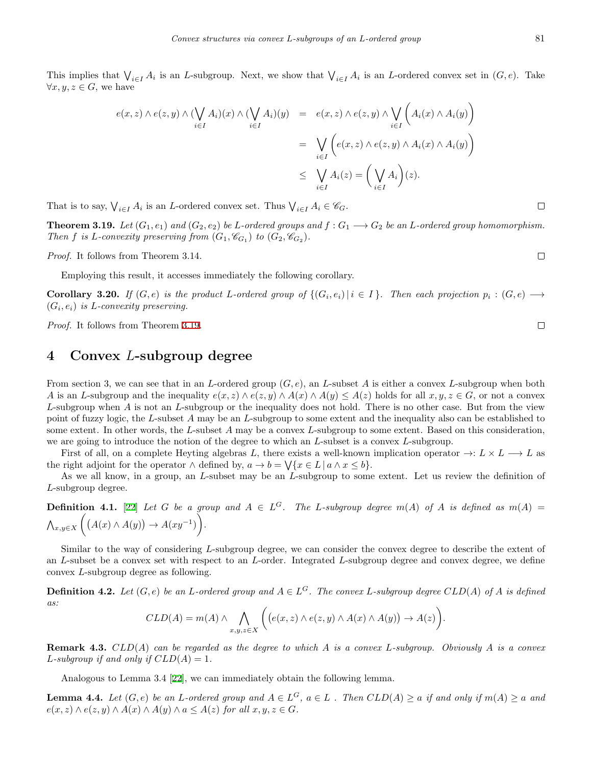This implies that  $\bigvee_{i \in I} A_i$  is an *L*-subgroup. Next, we show that  $\bigvee_{i \in I} A_i$  is an *L*-ordered convex set in  $(G, e)$ . Take  $\forall x, y, z \in G$ , we have

$$
e(x, z) \wedge e(z, y) \wedge (\bigvee_{i \in I} A_i)(x) \wedge (\bigvee_{i \in I} A_i)(y) = e(x, z) \wedge e(z, y) \wedge \bigvee_{i \in I} \left( A_i(x) \wedge A_i(y) \right)
$$
  

$$
= \bigvee_{i \in I} \left( e(x, z) \wedge e(z, y) \wedge A_i(x) \wedge A_i(y) \right)
$$
  

$$
\leq \bigvee_{i \in I} A_i(z) = \left( \bigvee_{i \in I} A_i \right)(z).
$$

That is to say,  $\bigvee_{i \in I} A_i$  is an *L*-ordered convex set. Thus  $\bigvee_{i \in I} A_i \in \mathscr{C}_G$ .

<span id="page-6-0"></span>**Theorem 3.19.** Let  $(G_1, e_1)$  and  $(G_2, e_2)$  be L-ordered groups and  $f: G_1 \longrightarrow G_2$  be an L-ordered group homomorphism. *Then f is L-convexity preserving from*  $(G_1, \mathcal{C}_{G_1})$  *to*  $(G_2, \mathcal{C}_{G_2})$ *.* 

*Proof.* It follows from Theorem 3.14.

Employing this result, it accesses immediately the following corollary.

**Corollary 3.20.** If  $(G, e)$  is the product L-ordered group of  $\{(G_i, e_i) | i \in I\}$ . Then each projection  $p_i : (G, e) \longrightarrow$  $(G_i, e_i)$  *is L-convexity preserving.* 

*Proof.* It follows from Theorem [3.19](#page-6-0).

## **4 Convex** *L***-subgroup degree**

From section 3, we can see that in an *L*-ordered group (*G, e*), an *L*-subset *A* is either a convex *L*-subgroup when both A is an L-subgroup and the inequality  $e(x, z) \wedge e(z, y) \wedge A(x) \wedge A(y) \leq A(z)$  holds for all  $x, y, z \in G$ , or not a convex *L*-subgroup when *A* is not an *L*-subgroup or the inequality does not hold. There is no other case. But from the view point of fuzzy logic, the *L*-subset *A* may be an *L*-subgroup to some extent and the inequality also can be established to some extent. In other words, the *L*-subset *A* may be a convex *L*-subgroup to some extent. Based on this consideration, we are going to introduce the notion of the degree to which an *L*-subset is a convex *L*-subgroup.

First of all, on a complete Heyting algebras *L*, there exists a well-known implication operator  $\rightarrow: L \times L \longrightarrow L$  as the right adjoint for the operator  $\land$  defined by,  $a \to b = \sqrt{\{x \in L \mid a \land x \leq b\}}$ .

As we all know, in a group, an *L*-subset may be an *L*-subgroup to some extent. Let us review the definition of *L*-subgroup degree.

**Definition 4.1.** [\[22](#page-11-24)] Let G be a group and  $A \in L^G$ . The L-subgroup degree  $m(A)$  of A is defined as  $m(A)$  = ∧ *x,y∈X*  $\left( (A(x) \land A(y)) \rightarrow A(xy^{-1}) \right)$ Š. *.*

Similar to the way of considering *L*-subgroup degree, we can consider the convex degree to describe the extent of an *L*-subset be a convex set with respect to an *L*-order. Integrated *L*-subgroup degree and convex degree, we define convex *L*-subgroup degree as following.

**Definition 4.2.** Let  $(G, e)$  be an L-ordered group and  $A \in L^G$ . The convex L-subgroup degree  $CLD(A)$  of A is defined *as:*

$$
CLD(A) = m(A) \wedge \bigwedge_{x,y,z \in X} \bigg( \big( e(x,z) \wedge e(z,y) \wedge A(x) \wedge A(y) \big) \to A(z) \bigg).
$$

**Remark 4.3.** *CLD*(*A*) *can be regarded as the degree to which A is a convex L-subgroup. Obviously A is a convex L*-subgroup if and only if  $CLD(A) = 1$ .

Analogous to Lemma 3.4 [\[22](#page-11-24)], we can immediately obtain the following lemma.

<span id="page-6-1"></span>**Lemma 4.4.** Let  $(G, e)$  be an L-ordered group and  $A \in L^G$ ,  $a \in L$ . Then  $CLD(A) \ge a$  if and only if  $m(A) \ge a$  and  $e(x, z) \wedge e(z, y) \wedge A(x) \wedge A(y) \wedge a \leq A(z)$  *for all*  $x, y, z \in G$ *.* 

 $\Box$ 

 $\Box$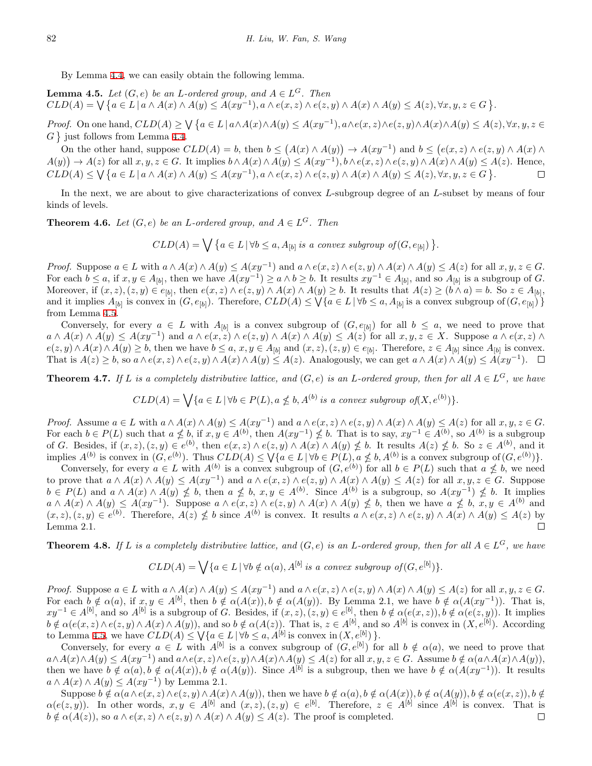By Lemma [4.4](#page-6-1), we can easily obtain the following lemma.

<span id="page-7-0"></span>**Lemma 4.5.** *Let*  $(G, e)$  *be an L*-ordered group, and  $A \in L^G$ . Then  $CLD(A) = \bigvee \{a \in L \mid a \wedge A(x) \wedge A(y) \leq A(xy^{-1}), a \wedge e(x, z) \wedge e(z, y) \wedge A(x) \wedge A(y) \leq A(z), \forall x, y, z \in G\}.$ 

*Proof.* On one hand,  $CLD(A) \ge \bigvee \{a \in L \mid a \wedge A(x) \wedge A(y) \le A(xy^{-1}), a \wedge e(x, z) \wedge e(z, y) \wedge A(x) \wedge A(y) \le A(z), \forall x, y, z \in L\}$  $G \}$  just follows from Lemma [4.4](#page-6-1).

On the other hand, suppose  $CLD(A) = b$ , then  $b \leq (A(x) \wedge A(y)) \rightarrow A(xy^{-1})$  and  $b \leq (e(x, z) \wedge e(z, y) \wedge A(x) \wedge b(z))$  $A(y)$   $\rightarrow$   $A(z)$  for all  $x, y, z \in G$ . It implies  $b \wedge A(x) \wedge A(y) \leq A(xy^{-1}), b \wedge e(x, z) \wedge e(z, y) \wedge A(x) \wedge A(y) \leq A(z)$ . Hence,  $CLD(A) \leq \bigvee \{a \in L \mid a \wedge A(x) \wedge A(y) \leq A(xy^{-1}), a \wedge e(x, z) \wedge e(z, y) \wedge A(x) \wedge A(y) \leq A(z), \forall x, y, z \in G\}.$  $\Box$ 

In the next, we are about to give characterizations of convex *L*-subgroup degree of an *L*-subset by means of four kinds of levels.

**Theorem 4.6.** *Let*  $(G, e)$  *be an L*-ordered group, and  $A \in L^G$ *. Then* 

 $CLD(A) = \bigvee \{a \in L \mid \forall b \leq a, A_{[b]} \text{ is a convex subgroup of } (G, e_{[b]}) \}.$ 

*Proof.* Suppose  $a \in L$  with  $a \wedge A(x) \wedge A(y) \leq A(xy^{-1})$  and  $a \wedge e(x, z) \wedge e(z, y) \wedge A(x) \wedge A(y) \leq A(z)$  for all  $x, y, z \in G$ . For each  $b \le a$ , if  $x, y \in A_{[b]}$ , then we have  $A(xy^{-1}) \ge a \wedge b \ge b$ . It results  $xy^{-1} \in A_{[b]}$ , and so  $A_{[b]}$  is a subgroup of G. Moreover, if  $(x, z)$ ,  $(z, y) \in e_{[b]}$ , then  $e(x, z) \wedge e(z, y) \wedge A(x) \wedge A(y) \geq b$ . It results that  $A(z) \geq (b \wedge a) = b$ . So  $z \in A_{[b]}$ , and it implies  $A_{[b]}$  is convex in  $(G, e_{[b]})$ . Therefore,  $CLD(A) \leq \sqrt{a \in L | \forall b \leq a, A_{[b]} }$  is a convex subgroup of  $(G, e_{[b]})$ } from Lemma [4.5](#page-7-0).

Conversely, for every  $a \in L$  with  $A_{[b]}$  is a convex subgroup of  $(G, e_{[b]})$  for all  $b \leq a$ , we need to prove that  $a \wedge A(x) \wedge A(y) \leq A(xy^{-1})$  and  $a \wedge e(x,z) \wedge e(z,y) \wedge A(x) \wedge A(y) \leq A(z)$  for all  $x, y, z \in X$ . Suppose  $a \wedge e(x,z) \wedge e(z,z)$  $e(z, y) \wedge A(x) \wedge A(y) \geq b$ , then we have  $b \leq a$ ,  $x, y \in A_{[b]}$  and  $(x, z), (z, y) \in e_{[b]}$ . Therefore,  $z \in A_{[b]}$  since  $A_{[b]}$  is convex. That is  $A(z) \geq b$ , so  $a \wedge e(x, z) \wedge e(z, y) \wedge A(x) \wedge A(y) \leq A(z)$ . Analogously, we can get  $a \wedge A(x) \wedge A(y) \leq A(xy^{-1})$ .

**Theorem 4.7.** If *L* is a completely distributive lattice, and  $(G, e)$  is an *L*-ordered group, then for all  $A \in L^G$ , we have

$$
CLD(A) = \bigvee \{a \in L \mid \forall b \in P(L), a \nleq b, A^{(b)} \text{ is a convex subgroup of } (X, e^{(b)})\}.
$$

*Proof.* Assume  $a \in L$  with  $a \wedge A(x) \wedge A(y) \leq A(xy^{-1})$  and  $a \wedge e(x, z) \wedge e(z, y) \wedge A(x) \wedge A(y) \leq A(z)$  for all  $x, y, z \in G$ . For each  $b \in P(L)$  such that  $a \nleq b$ , if  $x, y \in A^{(b)}$ , then  $A(xy^{-1}) \nleq b$ . That is to say,  $xy^{-1} \in A^{(b)}$ , so  $A^{(b)}$  is a subgroup of G. Besides, if  $(x, z), (z, y) \in e^{(b)}$ , then  $e(x, z) \wedge e(z, y) \wedge A(x) \wedge A(y) \nleq b$ . It results  $A(z) \nleq b$ . So  $z \in A^{(b)}$ , and it implies  $A^{(b)}$  is convex in  $(G, e^{(b)})$ . Thus  $CLD(A) \leq \sqrt{a \in L \mid \forall b \in P(L)}$ ,  $a \nleq b$ ,  $A^{(b)}$  is a convex subgroup of  $(G, e^{(b)})$ .

Conversely, for every  $a \in L$  with  $A^{(b)}$  is a convex subgroup of  $(G, e^{(b)})$  for all  $b \in P(L)$  such that  $a \nleq b$ , we need to prove that  $a \wedge A(x) \wedge A(y) \leq A(xy^{-1})$  and  $a \wedge e(x, z) \wedge e(z, y) \wedge A(x) \wedge A(y) \leq A(z)$  for all  $x, y, z \in G$ . Suppose  $b \in P(L)$  and  $a \wedge A(x) \wedge A(y) \nleq b$ , then  $a \nleq b$ ,  $x, y \in A^{(b)}$ . Since  $A^{(b)}$  is a subgroup, so  $A(xy^{-1}) \nleq b$ . It implies  $a \wedge A(x) \wedge A(y) \leq A(xy^{-1})$ . Suppose  $a \wedge e(x, z) \wedge e(z, y) \wedge A(x) \wedge A(y) \nleq b$ , then we have  $a \nleq b$ ,  $x, y \in A^{(b)}$  and  $(x, z), (z, y) \in e^{(b)}$ . Therefore,  $A(z) \nleq b$  since  $A^{(b)}$  is convex. It results  $a \wedge e(x, z) \wedge e(z, y) \wedge A(x) \wedge A(y) \leq A(z)$  by Lemma 2.1.  $\Box$ 

**Theorem 4.8.** If *L* is a completely distributive lattice, and  $(G, e)$  is an *L*-ordered group, then for all  $A \in L^G$ , we have

$$
CLD(A) = \bigvee \{a \in L \mid \forall b \notin \alpha(a), A^{[b]} \text{ is a convex subgroup of } (G, e^{[b]})\}.
$$

*Proof.* Suppose  $a \in L$  with  $a \wedge A(x) \wedge A(y) \leq A(xy^{-1})$  and  $a \wedge e(x, z) \wedge e(z, y) \wedge A(x) \wedge A(y) \leq A(z)$  for all  $x, y, z \in G$ . For each  $b \notin \alpha(a)$ , if  $x, y \in A^{[b]}$ , then  $b \notin \alpha(A(x)), b \notin \alpha(A(y))$ . By Lemma 2.1, we have  $b \notin \alpha(A(xy^{-1}))$ . That is,  $xy^{-1} \in A^{[b]}$ , and so  $A^{[b]}$  is a subgroup of G. Besides, if  $(x, z), (z, y) \in e^{[b]}$ , then  $b \notin \alpha(e(x, z)), b \notin \alpha(e(z, y))$ . It implies  $b \notin \alpha(e(x, z) \wedge e(z, y) \wedge A(x) \wedge A(y))$ , and so  $b \notin \alpha(A(z))$ . That is,  $z \in A^{[b]}$ , and so  $A^{[b]}$  is convex in  $(X, e^{[b]})$ . According to Lemma [4.5,](#page-7-0) we have  $CLD(A) \leq \bigvee \{a \in L \mid \forall b \leq a, A^{[b]} \text{ is convex in } (X, e^{[b]}) \}.$ 

Conversely, for every  $a \in L$  with  $A^{[b]}$  is a convex subgroup of  $(G, e^{[b]})$  for all  $b \notin \alpha(a)$ , we need to prove that  $a \wedge A(x) \wedge A(y) \leq A(xy^{-1})$  and  $a \wedge e(x, z) \wedge e(z, y) \wedge A(x) \wedge A(y) \leq A(z)$  for all  $x, y, z \in G$ . Assume  $b \notin \alpha(a \wedge A(x) \wedge A(y)),$ then we have  $b \notin \alpha(a), b \notin \alpha(A(x)), b \notin \alpha(A(y))$ . Since  $A^{[b]}$  is a subgroup, then we have  $b \notin \alpha(A(xy^{-1}))$ . It results  $a \wedge A(x) \wedge A(y) \leq A(xy^{-1})$  by Lemma 2.1.

Suppose  $b \notin \alpha(a \wedge e(x, z) \wedge e(z, y) \wedge A(x) \wedge A(y))$ , then we have  $b \notin \alpha(a), b \notin \alpha(A(x)), b \notin \alpha(A(y)), b \notin \alpha(e(x, z)), b \notin \alpha(e(x, z))$  $\alpha(e(z, y))$ . In other words,  $x, y \in A^{[b]}$  and  $(x, z), (z, y) \in e^{[b]}$ . Therefore,  $z \in A^{[b]}$  since  $A^{[b]}$  is convex. That is  $b \notin \alpha(A(z))$ , so  $a \wedge e(x, z) \wedge e(z, y) \wedge A(x) \wedge A(y) \leq A(z)$ . The proof is completed.  $\Box$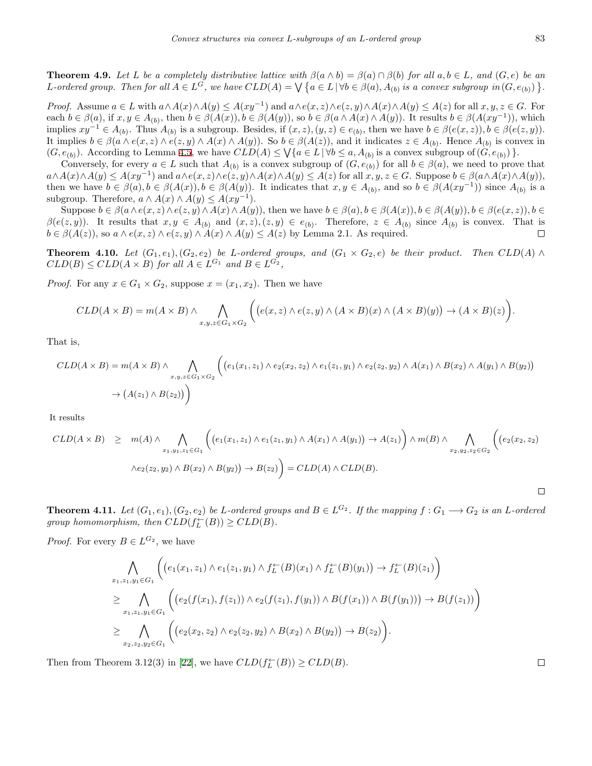**Theorem 4.9.** Let L be a completely distributive lattice with  $\beta(a \wedge b) = \beta(a) \cap \beta(b)$  for all  $a, b \in L$ , and  $(G, e)$  be an L-ordered group. Then for all  $A \in L^{\tilde{G}}$ , we have  $CLD(A) = \bigvee \{a \in L \mid \forall b \in \beta(a), A_{(b)} \text{ is a convex subgroup in } (G, e_{(b)}) \}.$ 

*Proof.* Assume  $a \in L$  with  $a \wedge A(x) \wedge A(y) \leq A(xy^{-1})$  and  $a \wedge e(x, z) \wedge e(z, y) \wedge A(x) \wedge A(y) \leq A(z)$  for all  $x, y, z \in G$ . For each  $b \in \beta(a)$ , if  $x, y \in A_{(b)}$ , then  $b \in \beta(A(x))$ ,  $b \in \beta(A(y))$ , so  $b \in \beta(a \wedge A(x) \wedge A(y))$ . It results  $b \in \beta(A(xy^{-1}))$ , which implies  $xy^{-1} \in A_{(b)}$ . Thus  $A_{(b)}$  is a subgroup. Besides, if  $(x, z), (y, z) \in e_{(b)}$ , then we have  $b \in \beta(e(x, z)), b \in \beta(e(z, y))$ . It implies  $b \in \beta(a \wedge e(x, z) \wedge e(z, y) \wedge A(x) \wedge A(y))$ . So  $b \in \beta(A(z))$ , and it indicates  $z \in A_{(b)}$ . Hence  $A_{(b)}$  is convex in  $(G, e_{(b)})$ . According to Lemma [4.5](#page-7-0), we have  $CLD(A) \leq \sqrt{a \in L \, |\, \forall b \leq a, A_{(b)}}$  is a convex subgroup of  $(G, e_{(b)})$ .

Conversely, for every  $a \in L$  such that  $A_{(b)}$  is a convex subgroup of  $(G, e_{(b)})$  for all  $b \in \beta(a)$ , we need to prove that  $a \wedge A(x) \wedge A(y) \leq A(xy^{-1})$  and  $a \wedge e(x, z) \wedge e(z, y) \wedge A(x) \wedge A(y) \leq A(z)$  for all  $x, y, z \in G$ . Suppose  $b \in \beta(a \wedge A(x) \wedge A(y)),$ then we have  $b \in \beta(a), b \in \beta(A(x)), b \in \beta(A(y))$ . It indicates that  $x, y \in A_{(b)}$ , and so  $b \in \beta(A(xy^{-1}))$  since  $A_{(b)}$  is a subgroup. Therefore,  $a \wedge A(x) \wedge A(y) \leq A(xy^{-1})$ .

Suppose  $b \in \beta(a \wedge e(x, z) \wedge e(z, y) \wedge A(x) \wedge A(y))$ , then we have  $b \in \beta(a), b \in \beta(A(x)), b \in \beta(A(y)), b \in \beta(e(x, z)), b \in \beta(e(x, z))$  $\beta(e(z,y))$ . It results that  $x, y \in A_{(b)}$  and  $(x, z), (z, y) \in e_{(b)}$ . Therefore,  $z \in A_{(b)}$  since  $A_{(b)}$  is convex. That is  $b \in \beta(A(z))$ , so  $a \wedge e(x, z) \wedge e(z, y) \wedge A(x) \wedge A(y) \leq A(z)$  by Lemma 2.1. As required.  $\Box$ 

**Theorem 4.10.** Let  $(G_1,e_1),(G_2,e_2)$  be L-ordered groups, and  $(G_1 \times G_2,e)$  be their product. Then  $CLD(A) \wedge$  $CLD(B) \leq CLD(A \times B)$  *for all*  $A \in L^{G_1}$  *and*  $B \in L^{G_2}$ ,

*Proof.* For any  $x \in G_1 \times G_2$ , suppose  $x = (x_1, x_2)$ . Then we have

$$
CLD(A \times B) = m(A \times B) \wedge \bigwedge_{x,y,z \in G_1 \times G_2} \bigg( \big(e(x,z) \wedge e(z,y) \wedge (A \times B)(x) \wedge (A \times B)(y)\big) \rightarrow (A \times B)(z) \bigg).
$$

That is,

$$
CLD(A \times B) = m(A \times B) \wedge \bigwedge_{x,y,z \in G_1 \times G_2} \Big( \big( e_1(x_1,z_1) \wedge e_2(x_2,z_2) \wedge e_1(z_1,y_1) \wedge e_2(z_2,y_2) \wedge A(x_1) \wedge B(x_2) \wedge A(y_1) \wedge B(y_2) \big)
$$
  
\n
$$
\rightarrow (A(z_1) \wedge B(z_2)) \Big)
$$

It results

$$
CLD(A \times B) \geq m(A) \wedge \bigwedge_{x_1, y_1, z_1 \in G_1} \left( \left( e_1(x_1, z_1) \wedge e_1(z_1, y_1) \wedge A(x_1) \wedge A(y_1) \right) \rightarrow A(z_1) \right) \wedge m(B) \wedge \bigwedge_{x_2, y_2, z_2 \in G_2} \left( \left( e_2(x_2, z_2) \wedge e_2(z_2, y_2) \wedge B(y_2) \right) \rightarrow B(z_2) \right)
$$

**Theorem 4.11.** Let  $(G_1,e_1),(G_2,e_2)$  be L-ordered groups and  $B\in L^{G_2}$ . If the mapping  $f:G_1\longrightarrow G_2$  is an L-ordered *group homomorphism, then*  $CLD(f^{\leftarrow}_L(B)) \geq CLD(B)$ *.* 

*Proof.* For every  $B \in L^{G_2}$ , we have

$$
\bigwedge_{x_1,x_1,y_1 \in G_1} \left( \left( e_1(x_1,z_1) \wedge e_1(z_1,y_1) \wedge f_L^{\leftarrow}(B)(x_1) \wedge f_L^{\leftarrow}(B)(y_1) \right) \to f_L^{\leftarrow}(B)(z_1) \right) \right) \n\geq \bigwedge_{x_1,x_1,y_1 \in G_1} \left( \left( e_2(f(x_1),f(z_1)) \wedge e_2(f(z_1),f(y_1)) \wedge B(f(x_1)) \wedge B(f(y_1)) \right) \to B(f(z_1)) \right) \n\geq \bigwedge_{x_2,x_2,y_2 \in G_1} \left( \left( e_2(x_2,z_2) \wedge e_2(z_2,y_2) \wedge B(x_2) \wedge B(y_2) \right) \to B(z_2) \right).
$$

Then from Theorem 3.12(3) in [[22\]](#page-11-24), we have  $CLD(f_L^{\leftarrow}(B)) \geq CLD(B)$ .

 $\Box$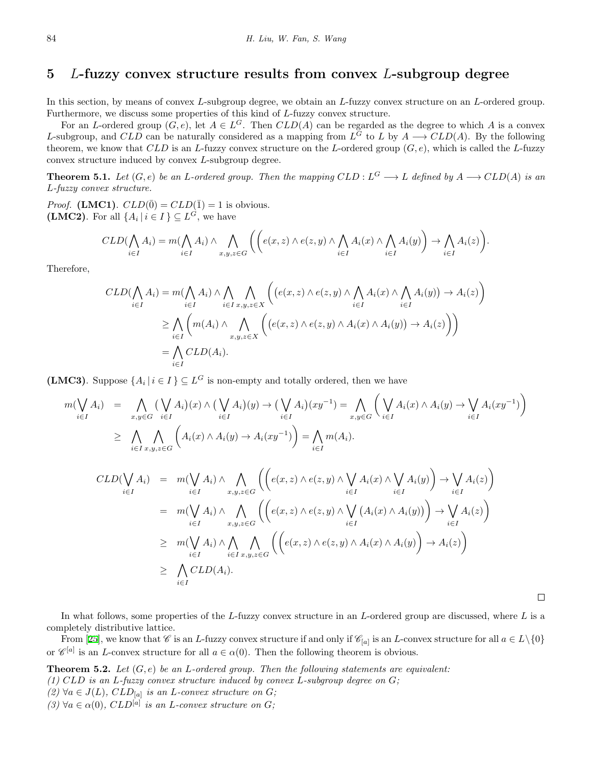#### **5** *L***-fuzzy convex structure results from convex** *L***-subgroup degree**

In this section, by means of convex *L*-subgroup degree, we obtain an *L*-fuzzy convex structure on an *L*-ordered group. Furthermore, we discuss some properties of this kind of *L*-fuzzy convex structure.

For an *L*-ordered group  $(G, e)$ , let  $A \in L^G$ . Then  $CLD(A)$  can be regarded as the degree to which *A* is a convex *L*-subgroup, and *CLD* can be naturally considered as a mapping from  $L^G$  to *L* by  $A \rightarrow CLD(A)$ . By the following theorem, we know that *CLD* is an *L*-fuzzy convex structure on the *L*-ordered group (*G, e*), which is called the *L*-fuzzy convex structure induced by convex *L*-subgroup degree.

**Theorem 5.1.** Let  $(G, e)$  be an L-ordered group. Then the mapping  $CLD : L^G \longrightarrow L$  defined by  $A \longrightarrow CLD(A)$  is an *L-fuzzy convex structure.*

*Proof.* **(LMC1)**.  $CLD(\bar{0}) = CLD(\bar{1}) = 1$  is obvious. **(LMC2)**. For all  $\{A_i \mid i \in I\} \subseteq L^G$ , we have

$$
CLD(\bigwedge_{i \in I} A_i) = m(\bigwedge_{i \in I} A_i) \land \bigwedge_{x,y,z \in G} \left( \left( e(x,z) \land e(z,y) \land \bigwedge_{i \in I} A_i(x) \land \bigwedge_{i \in I} A_i(y) \right) \to \bigwedge_{i \in I} A_i(z) \right).
$$

Therefore,

$$
CLD(\bigwedge_{i \in I} A_i) = m(\bigwedge_{i \in I} A_i) \land \bigwedge_{i \in I} \bigwedge_{x, y, z \in X} \left( (e(x, z) \land e(z, y) \land \bigwedge_{i \in I} A_i(x) \land \bigwedge_{i \in I} A_i(y)) \to A_i(z) \right)
$$
  
\n
$$
\geq \bigwedge_{i \in I} \left( m(A_i) \land \bigwedge_{x, y, z \in X} \left( (e(x, z) \land e(z, y) \land A_i(x) \land A_i(y)) \to A_i(z) \right) \right)
$$
  
\n
$$
= \bigwedge_{i \in I} CLD(A_i).
$$

**(LMC3)**. Suppose  $\{A_i \mid i \in I\} \subseteq L^G$  is non-empty and totally ordered, then we have

$$
m(\bigvee_{i\in I} A_i) = \bigwedge_{x,y\in G} (\bigvee_{i\in I} A_i)(x) \wedge (\bigvee_{i\in I} A_i)(y) \rightarrow (\bigvee_{i\in I} A_i)(xy^{-1}) = \bigwedge_{x,y\in G} \left( \bigvee_{i\in I} A_i(x) \wedge A_i(y) \rightarrow \bigvee_{i\in I} A_i(xy^{-1}) \right)
$$
  

$$
\geq \bigwedge_{i\in I} \bigwedge_{x,y,z\in G} \left( A_i(x) \wedge A_i(y) \rightarrow A_i(xy^{-1}) \right) = \bigwedge_{i\in I} m(A_i).
$$

$$
CLD(\bigvee_{i \in I} A_i) = m(\bigvee_{i \in I} A_i) \wedge \bigwedge_{x,y,z \in G} \left( \left( e(x,z) \wedge e(z,y) \wedge \bigvee_{i \in I} A_i(x) \wedge \bigvee_{i \in I} A_i(y) \right) \rightarrow \bigvee_{i \in I} A_i(z) \right)
$$
  
\n
$$
= m(\bigvee_{i \in I} A_i) \wedge \bigwedge_{x,y,z \in G} \left( \left( e(x,z) \wedge e(z,y) \wedge \bigvee_{i \in I} (A_i(x) \wedge A_i(y)) \right) \rightarrow \bigvee_{i \in I} A_i(z) \right)
$$
  
\n
$$
\ge m(\bigvee_{i \in I} A_i) \wedge \bigwedge_{i \in I} \bigwedge_{x,y,z \in G} \left( \left( e(x,z) \wedge e(z,y) \wedge A_i(x) \wedge A_i(y) \right) \rightarrow A_i(z) \right)
$$
  
\n
$$
\ge \bigwedge_{i \in I} CLD(A_i).
$$

In what follows, some properties of the *L*-fuzzy convex structure in an *L*-ordered group are discussed, where *L* is a completely distributive lattice.

From [\[25](#page-11-14)], we know that *C* is an *L*-fuzzy convex structure if and only if  $C_{[a]}$  is an *L*-convex structure for all  $a \in L \setminus \{0\}$ or  $\mathscr{C}^{[a]}$  is an *L*-convex structure for all  $a \in \alpha(0)$ . Then the following theorem is obvious.

**Theorem 5.2.** *Let* (*G, e*) *be an L-ordered group. Then the following statements are equivalent: (1) CLD is an L-fuzzy convex structure induced by convex L-subgroup degree on G; (2)*  $\forall a \in J(L)$ ,  $CLD_{[a]}$  *is an L*-convex structure on *G;*  $(3)$   $\forall a \in \alpha(0)$ ,  $CLD^{[a]}$  *is an L*-convex structure on *G*;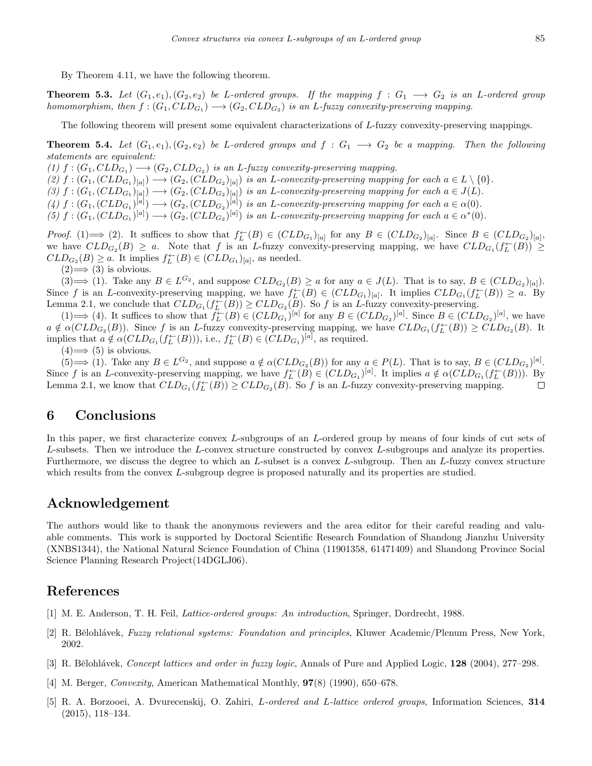By Theorem 4.11, we have the following theorem.

**Theorem 5.3.** Let  $(G_1, e_1), (G_2, e_2)$  be *L*-ordered groups. If the mapping  $f : G_1 \longrightarrow G_2$  is an *L*-ordered group *homomorphism, then*  $f:(G_1,CLD_{G_1}) \longrightarrow (G_2,CLD_{G_2})$  *is an L-fuzzy convexity-preserving mapping.* 

The following theorem will present some equivalent characterizations of *L*-fuzzy convexity-preserving mappings.

**Theorem 5.4.** Let  $(G_1, e_1), (G_2, e_2)$  be *L*-ordered groups and  $f : G_1 \longrightarrow G_2$  be a mapping. Then the following *statements are equivalent:*

 $(1)$   $f$  :  $(G_1, CLD_{G_1}) \longrightarrow (G_2, CLD_{G_2})$  *is an L*-fuzzy convexity-preserving mapping.

(2)  $f:(G_1,(CLD_{G_1})_{[a]})\longrightarrow (G_2,(CLD_{G_2})_{[a]})$  is an L-convexity-preserving mapping for each  $a\in L\setminus\{0\}.$ 

(3)  $f:(G_1,(CLD_{G_1})_{[a]})\longrightarrow (G_2,(CLD_{G_2})_{[a]})$  is an L-convexity-preserving mapping for each  $a\in J(L)$ .

 $(4) f: (G_1, (CLD_{G_1})^{[a]}) \longrightarrow (G_2, (CLD_{G_2})^{[a]})$  is an L-convexity-preserving mapping for each  $a \in \alpha(0)$ .

(5)  $f:(G_1,(CLD_{G_1})^{[a]})\longrightarrow (G_2,(CLD_{G_2})^{[a]})$  is an L-convexity-preserving mapping for each  $a\in\alpha^*(0)$ .

*Proof.* (1)  $\implies$  (2). It suffices to show that  $f_L^{\leftarrow}(B) \in (CLD_{G_1})_{[a]}$  for any  $B \in (CLD_{G_2})_{[a]}$ . Since  $B \in (CLD_{G_2})_{[a]}$ , we have  $CLD_{G_2}(B) \geq a$ . Note that *f* is an *L*-fuzzy convexity-preserving mapping, we have  $CLD_{G_1}(f_L^{\leftarrow}(B)) \geq$  $CLD_{G_2}(B) \geq a$ . It implies  $f_L^{\leftarrow}(B) \in (CLD_{G_1})_{[a]}$ , as needed.

 $(2) \Longrightarrow (3)$  is obvious.

 $(3) \Longrightarrow (1)$ . Take any  $B \in L^{G_2}$ , and suppose  $CLD_{G_2}(B) \ge a$  for any  $a \in J(L)$ . That is to say,  $B \in (CLD_{G_2})_{[a]})$ . Since f is an L-convexity-preserving mapping, we have  $f_L^{\leftarrow}(B) \in (CLD_{G_1})_{[a]}$ . It implies  $CLD_{G_1}(f_L^{\leftarrow}(B)) \ge a$ . By Lemma 2.1, we conclude that  $CLD_{G_1}(f_L^{\leftarrow}(B)) \geq CLD_{G_2}(B)$ . So *f* is an *L*-fuzzy convexity-preserving.

 $(1) \Longrightarrow (4)$ . It suffices to show that  $f_L^{\leftarrow}(B) \in (CLD_{G_1})^{[a]}$  for any  $B \in (CLD_{G_2})^{[a]}$ . Since  $B \in (CLD_{G_2})^{[a]}$ , we have  $a \notin \alpha(CLD_{G_2}(B))$ . Since f is an L-fuzzy convexity-preserving mapping, we have  $CLD_{G_1}(f_L^{\leftarrow}(B)) \geq CLD_{G_2}(B)$ . It implies that  $a \notin \alpha(CLD_{G_1}(f_L^{\leftarrow}(B)))$ , i.e.,  $f_L^{\leftarrow}(B) \in (CLD_{G_1})^{[a]}$ , as required.

 $(4) \Longrightarrow (5)$  is obvious.

 $(5) \Longrightarrow (1)$ . Take any  $B \in L^{G_2}$ , and suppose  $a \notin \alpha(CLD_{G_2}(B))$  for any  $a \in P(L)$ . That is to say,  $B \in (CLD_{G_2})^{[a]}$ . Since f is an L-convexity-preserving mapping, we have  $f_L^{\leftarrow}(B) \in (CLD_{G_1})^{[a]}$ . It implies  $a \notin \alpha (CLD_{G_1}(f_L^{\leftarrow}(B)))$ . By Lemma 2.1, we know that  $CLD_{G_1}(f^{\leftarrow}_L(B)) \geq CLD_{G_2}(B)$ . So *f* is an *L*-fuzzy convexity-preserving mapping.  $\Box$ 

# **6 Conclusions**

In this paper, we first characterize convex *L*-subgroups of an *L*-ordered group by means of four kinds of cut sets of *L*-subsets. Then we introduce the *L*-convex structure constructed by convex *L*-subgroups and analyze its properties. Furthermore, we discuss the degree to which an *L*-subset is a convex *L*-subgroup. Then an *L*-fuzzy convex structure which results from the convex *L*-subgroup degree is proposed naturally and its properties are studied.

#### **Acknowledgement**

The authors would like to thank the anonymous reviewers and the area editor for their careful reading and valuable comments. This work is supported by Doctoral Scientific Research Foundation of Shandong Jianzhu University (XNBS1344), the National Natural Science Foundation of China (11901358, 61471409) and Shandong Province Social Science Planning Research Project(14DGLJ06).

#### **References**

- <span id="page-10-4"></span>[1] M. E. Anderson, T. H. Feil, *Lattice-ordered groups: An introduction*, Springer, Dordrecht, 1988.
- <span id="page-10-2"></span>[2] R. Bělohlávek, *Fuzzy relational systems: Foundation and principles*, Kluwer Academic/Plenum Press, New York, 2002.
- <span id="page-10-3"></span>[3] R. Bˇelohl´avek, *Concept lattices and order in fuzzy logic*, Annals of Pure and Applied Logic, **128** (2004), 277–298.
- <span id="page-10-0"></span>[4] M. Berger, *Convexity*, American Mathematical Monthly, **97**(8) (1990), 650–678.
- <span id="page-10-1"></span>[5] R. A. Borzooei, A. Dvurecenskij, O. Zahiri, *L-ordered and L-lattice ordered groups*, Information Sciences, **314** (2015), 118–134.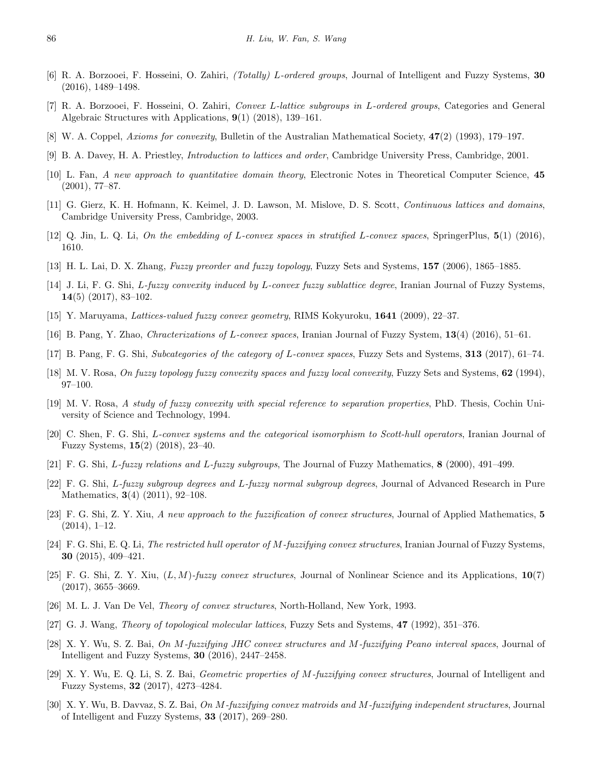- <span id="page-11-23"></span>[6] R. A. Borzooei, F. Hosseini, O. Zahiri, *(Totally) L-ordered groups*, Journal of Intelligent and Fuzzy Systems, **30** (2016), 1489–1498.
- <span id="page-11-18"></span>[7] R. A. Borzooei, F. Hosseini, O. Zahiri, *Convex L-lattice subgroups in L-ordered groups*, Categories and General Algebraic Structures with Applications, **9**(1) (2018), 139–161.
- <span id="page-11-0"></span>[8] W. A. Coppel, *Axioms for convexity*, Bulletin of the Australian Mathematical Society, **47**(2) (1993), 179–197.
- <span id="page-11-20"></span>[9] B. A. Davey, H. A. Priestley, *Introduction to lattices and order*, Cambridge University Press, Cambridge, 2001.
- <span id="page-11-16"></span>[10] L. Fan, *A new approach to quantitative domain theory*, Electronic Notes in Theoretical Computer Science, **45** (2001), 77–87.
- <span id="page-11-19"></span>[11] G. Gierz, K. H. Hofmann, K. Keimel, J. D. Lawson, M. Mislove, D. S. Scott, *Continuous lattices and domains*, Cambridge University Press, Cambridge, 2003.
- <span id="page-11-5"></span>[12] Q. Jin, L. Q. Li, *On the embedding of L-convex spaces in stratified L-convex spaces*, SpringerPlus, **5**(1) (2016), 1610.
- <span id="page-11-17"></span>[13] H. L. Lai, D. X. Zhang, *Fuzzy preorder and fuzzy topology*, Fuzzy Sets and Systems, **157** (2006), 1865–1885.
- <span id="page-11-15"></span>[14] J. Li, F. G. Shi, *L-fuzzy convexity induced by L-convex fuzzy sublattice degree*, Iranian Journal of Fuzzy Systems, **14**(5) (2017), 83–102.
- <span id="page-11-4"></span>[15] Y. Maruyama, *Lattices-valued fuzzy convex geometry*, RIMS Kokyuroku, **1641** (2009), 22–37.
- <span id="page-11-6"></span>[16] B. Pang, Y. Zhao, *Chracterizations of L-convex spaces*, Iranian Journal of Fuzzy System, **13**(4) (2016), 51–61.
- <span id="page-11-7"></span>[17] B. Pang, F. G. Shi, *Subcategories of the category of L-convex spaces*, Fuzzy Sets and Systems, **313** (2017), 61–74.
- <span id="page-11-2"></span>[18] M. V. Rosa, *On fuzzy topology fuzzy convexity spaces and fuzzy local convexity*, Fuzzy Sets and Systems, **62** (1994), 97–100.
- <span id="page-11-3"></span>[19] M. V. Rosa, *A study of fuzzy convexity with special reference to separation properties*, PhD. Thesis, Cochin University of Science and Technology, 1994.
- <span id="page-11-8"></span>[20] C. Shen, F. G. Shi, *L-convex systems and the categorical isomorphism to Scott-hull operators*, Iranian Journal of Fuzzy Systems, **15**(2) (2018), 23–40.
- <span id="page-11-22"></span>[21] F. G. Shi, *L-fuzzy relations and L-fuzzy subgroups*, The Journal of Fuzzy Mathematics, **8** (2000), 491–499.
- <span id="page-11-24"></span>[22] F. G. Shi, *L-fuzzy subgroup degrees and L-fuzzy normal subgroup degrees*, Journal of Advanced Research in Pure Mathematics, **3**(4) (2011), 92–108.
- <span id="page-11-9"></span>[23] F. G. Shi, Z. Y. Xiu, *A new approach to the fuzzification of convex structures*, Journal of Applied Mathematics, **5** (2014), 1–12.
- <span id="page-11-10"></span>[24] F. G. Shi, E. Q. Li, *The restricted hull operator of M-fuzzifying convex structures*, Iranian Journal of Fuzzy Systems, **30** (2015), 409–421.
- <span id="page-11-14"></span>[25] F. G. Shi, Z. Y. Xiu, (*L, M*)*-fuzzy convex structures*, Journal of Nonlinear Science and its Applications, **10**(7) (2017), 3655–3669.
- <span id="page-11-1"></span>[26] M. L. J. Van De Vel, *Theory of convex structures*, North-Holland, New York, 1993.
- <span id="page-11-21"></span>[27] G. J. Wang, *Theory of topological molecular lattices*, Fuzzy Sets and Systems, **47** (1992), 351–376.
- <span id="page-11-11"></span>[28] X. Y. Wu, S. Z. Bai, *On M-fuzzifying JHC convex structures and M-fuzzifying Peano interval spaces*, Journal of Intelligent and Fuzzy Systems, **30** (2016), 2447–2458.
- <span id="page-11-12"></span>[29] X. Y. Wu, E. Q. Li, S. Z. Bai, *Geometric properties of M-fuzzifying convex structures*, Journal of Intelligent and Fuzzy Systems, **32** (2017), 4273–4284.
- <span id="page-11-13"></span>[30] X. Y. Wu, B. Davvaz, S. Z. Bai, *On M-fuzzifying convex matroids and M-fuzzifying independent structures*, Journal of Intelligent and Fuzzy Systems, **33** (2017), 269–280.